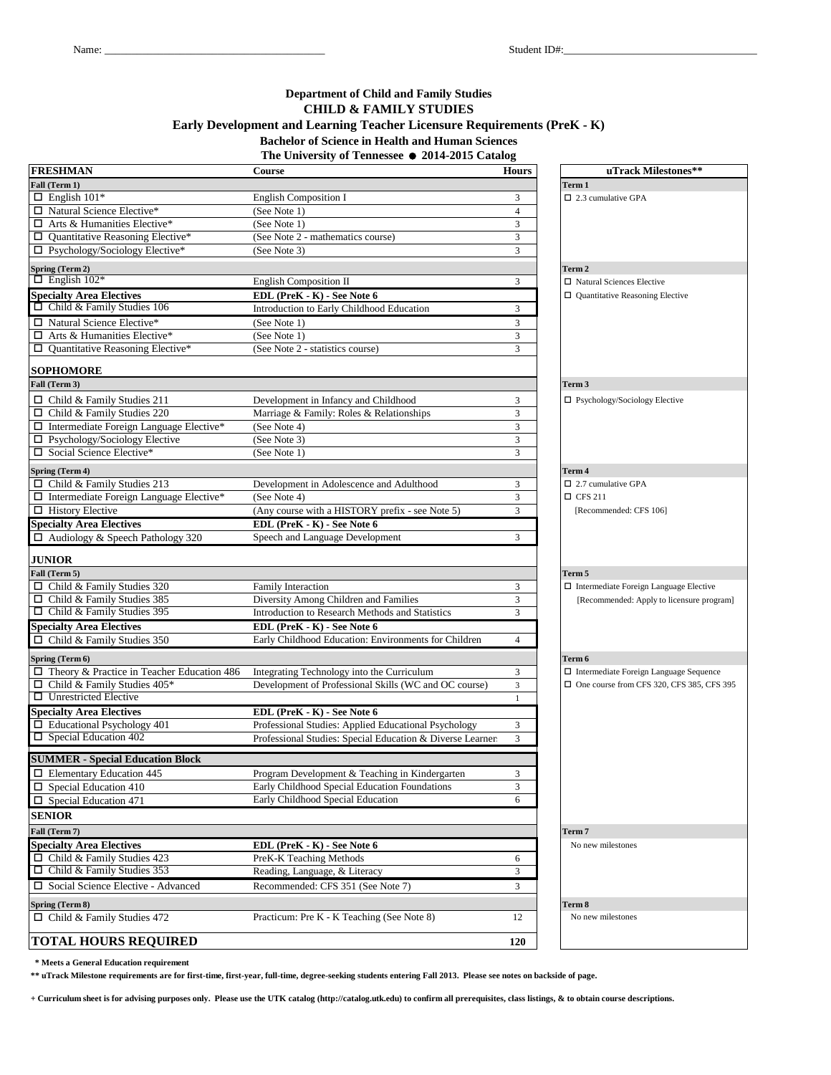## **Department of Child and Family Studies CHILD & FAMILY STUDIES Early Development and Learning Teacher Licensure Requirements (PreK - K)**

# **Bachelor of Science in Health and Human Sciences**

**The University of Tennessee** = **2014-2015 Catalog**

| <b>FRESHMAN</b>                                   | Course                                                    | <b>Hours</b>            | uTrack Milestones**                           |
|---------------------------------------------------|-----------------------------------------------------------|-------------------------|-----------------------------------------------|
| Fall (Term 1)                                     |                                                           |                         | Term 1                                        |
| $\Box$ English 101*                               | <b>English Composition I</b>                              | 3                       | $\square$ 2.3 cumulative GPA                  |
| □ Natural Science Elective*                       | (See Note 1)                                              | $\overline{4}$          |                                               |
| $\Box$ Arts & Humanities Elective*                | (See Note 1)                                              | 3                       |                                               |
| $\Box$ Quantitative Reasoning Elective*           | (See Note 2 - mathematics course)                         | $\overline{3}$          |                                               |
| □ Psychology/Sociology Elective*                  | (See Note 3)                                              | 3                       |                                               |
|                                                   |                                                           |                         |                                               |
| Spring (Term 2)<br>$\Box$ English 102*            |                                                           |                         | Term 2                                        |
|                                                   | English Composition II                                    | 3                       | □ Natural Sciences Elective                   |
| <b>Specialty Area Electives</b>                   | EDL (PreK - K) - See Note 6                               |                         | $\Box$ Quantitative Reasoning Elective        |
| $\Box$ Child & Family Studies 106                 | Introduction to Early Childhood Education                 | 3                       |                                               |
| □ Natural Science Elective*                       | (See Note 1)                                              | 3                       |                                               |
| $\Box$ Arts & Humanities Elective*                | (See Note 1)                                              | 3                       |                                               |
| $\Box$ Quantitative Reasoning Elective*           | (See Note 2 - statistics course)                          | 3                       |                                               |
|                                                   |                                                           |                         |                                               |
| <b>SOPHOMORE</b>                                  |                                                           |                         |                                               |
| Fall (Term 3)                                     |                                                           |                         | Term <sub>3</sub>                             |
| $\Box$ Child & Family Studies 211                 | Development in Infancy and Childhood                      | 3                       | $\Box$ Psychology/Sociology Elective          |
| $\Box$ Child & Family Studies 220                 | Marriage & Family: Roles & Relationships                  | 3                       |                                               |
| $\Box$ Intermediate Foreign Language Elective*    | (See Note 4)                                              | 3                       |                                               |
| □ Psychology/Sociology Elective                   | (See Note 3)                                              | 3                       |                                               |
| □ Social Science Elective*                        | (See Note 1)                                              | 3                       |                                               |
| Spring (Term 4)                                   |                                                           |                         | Term 4                                        |
| $\Box$ Child & Family Studies 213                 | Development in Adolescence and Adulthood                  | 3                       | $\Box$ 2.7 cumulative GPA                     |
| $\Box$ Intermediate Foreign Language Elective*    | (See Note 4)                                              | 3                       | $\Box$ CFS 211                                |
| $\Box$ History Elective                           | (Any course with a HISTORY prefix - see Note 5)           | 3                       | [Recommended: CFS 106]                        |
| <b>Specialty Area Electives</b>                   | EDL (PreK - K) - See Note 6                               |                         |                                               |
| $\Box$ Audiology & Speech Pathology 320           | Speech and Language Development                           | 3                       |                                               |
|                                                   |                                                           |                         |                                               |
| <b>JUNIOR</b>                                     |                                                           |                         |                                               |
| Fall (Term 5)                                     |                                                           |                         | Term 5                                        |
| $\Box$ Child & Family Studies 320                 | Family Interaction                                        | 3                       | $\Box$ Intermediate Foreign Language Elective |
| $\Box$ Child & Family Studies 385                 | Diversity Among Children and Families                     | 3                       | [Recommended: Apply to licensure program]     |
| $\Box$ Child & Family Studies 395                 | Introduction to Research Methods and Statistics           | $\overline{3}$          |                                               |
| <b>Specialty Area Electives</b>                   | EDL (PreK - K) - See Note 6                               |                         |                                               |
| Child & Family Studies 350<br>□                   | Early Childhood Education: Environments for Children      | $\overline{4}$          |                                               |
|                                                   |                                                           |                         |                                               |
| Spring (Term 6)                                   |                                                           |                         | Term 6                                        |
| $\Box$ Theory & Practice in Teacher Education 486 | Integrating Technology into the Curriculum                | 3                       | □ Intermediate Foreign Language Sequence      |
| $\Box$ Child & Family Studies 405*                | Development of Professional Skills (WC and OC course)     | $\overline{\mathbf{3}}$ | □ One course from CFS 320, CFS 385, CFS 395   |
| $\Box$ Unrestricted Elective                      |                                                           | $\mathbf{1}$            |                                               |
| <b>Specialty Area Electives</b>                   | EDL (PreK - K) - See Note 6                               |                         |                                               |
| $\Box$ Educational Psychology 401                 | Professional Studies: Applied Educational Psychology      | 3                       |                                               |
| $\square$ Special Education 402                   | Professional Studies: Special Education & Diverse Learner | 3                       |                                               |
|                                                   |                                                           |                         |                                               |
| <b>SUMMER - Special Education Block</b>           |                                                           |                         |                                               |
| $\Box$ Elementary Education 445                   | Program Development & Teaching in Kindergarten            | 3                       |                                               |
| $\square$ Special Education 410                   | Early Childhood Special Education Foundations             | 3                       |                                               |
| $\square$ Special Education 471                   | Early Childhood Special Education                         | 6                       |                                               |
| <b>SENIOR</b>                                     |                                                           |                         |                                               |
| Fall (Term 7)                                     |                                                           |                         | Term 7                                        |
| <b>Specialty Area Electives</b>                   | EDL (PreK - K) - See Note 6                               |                         | No new milestones                             |
| $\Box$ Child & Family Studies 423                 | PreK-K Teaching Methods                                   | 6                       |                                               |
| $\Box$ Child & Family Studies 353                 | Reading, Language, & Literacy                             | 3                       |                                               |
| □ Social Science Elective - Advanced              | Recommended: CFS 351 (See Note 7)                         | 3                       |                                               |
|                                                   |                                                           |                         |                                               |
| Spring (Term 8)                                   |                                                           |                         | Term 8                                        |
| $\Box$ Child & Family Studies 472                 | Practicum: Pre K - K Teaching (See Note 8)                | 12                      | No new milestones                             |
|                                                   |                                                           |                         |                                               |
| <b>TOTAL HOURS REQUIRED</b>                       |                                                           | <b>120</b>              |                                               |

 **\* Meets a General Education requirement**

**\*\* uTrack Milestone requirements are for first-time, first-year, full-time, degree-seeking students entering Fall 2013. Please see notes on backside of page.**

**+ Curriculum sheet is for advising purposes only. Please use the UTK catalog (http://catalog.utk.edu) to confirm all prerequisites, class listings, & to obtain course descriptions.**